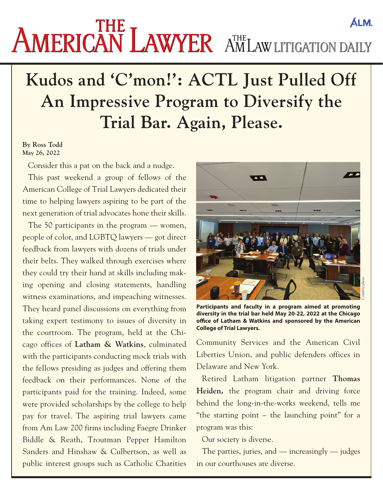## AMERICAN LAWYER AMLAW LITIGATION DAILY **ALM.**

## **Kudos and 'C'mon!': ACTL Just Pulled Off An Impressive Program to Diversify the Trial Bar. Again, Please.**

## **By Ross Todd May 26, 2022**

Consider this a pat on the back and a nudge.

This past weekend a group of fellows of the American College of Trial Lawyers dedicated their time to helping lawyers aspiring to be part of the next generation of trial advocates hone their skills.

The 50 participants in the program — women, people of color, and LGBTQ lawyers — got direct feedback from lawyers with dozens of trials under their belts. They walked through exercises where they could try their hand at skills including making opening and closing statements, handling witness examinations, and impeaching witnesses. They heard panel discussions on everything from taking expert testimony to issues of diversity in the courtroom. The program, held at the Chicago offices of **Latham & Watkins**, culminated with the participants conducting mock trials with the fellows presiding as judges and offering them feedback on their performances. None of the participants paid for the training. Indeed, some were provided scholarships by the college to help pay for travel. The aspiring trial lawyers came from Am Law 200 firms including Faegre Drinker Biddle & Reath, Troutman Pepper Hamilton Sanders and Hinshaw & Culbertson, as well as public interest groups such as Catholic Charities



**Participants and faculty in a program aimed at promoting diversity in the trial bar held May 20-22, 2022 at the Chicago office of Latham & Watkins and sponsored by the American** 

Community Services and the American Civil Liberties Union, and public defenders offices in Delaware and New York. **College of Trial Lawyers.**

Retired Latham litigation partner **Thomas Heiden,** the program chair and driving force behind the long-in-the-works weekend, tells me "the starting point – the launching point" for a program was this:

Our society is diverse.

The parties, juries, and — increasingly — judges in our courthouses are diverse.